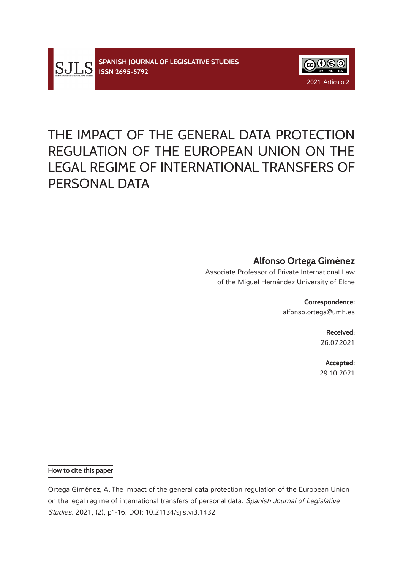



# THE IMPACT OF THE GENERAL DATA PROTECTION REGULATION OF THE EUROPEAN UNION ON THE LEGAL REGIME OF INTERNATIONAL TRANSFERS OF PERSONAL DATA

# **Alfonso Ortega Giménez**

Associate Professor of Private International Law of the Miguel Hernández University of Elche

> **Correspondence:** alfonso.ortega@umh.es

> > **Received:** 26.07.2021

**Accepted:** 29.10.2021

**How to cite this paper**

Ortega Giménez, A. The impact of the general data protection regulation of the European Union on the legal regime of international transfers of personal data. Spanish Journal of Legislative Studies. 2021, (2), p1-16. DOI: 10.21134/sjls.vi3.1432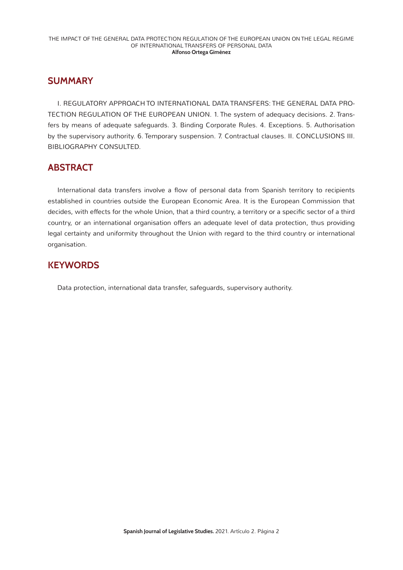### **SUMMARY**

I. REGULATORY APPROACH TO INTERNATIONAL DATA TRANSFERS: THE GENERAL DATA PRO-TECTION REGULATION OF THE EUROPEAN UNION. 1. The system of adequacy decisions. 2. Transfers by means of adequate safeguards. 3. Binding Corporate Rules. 4. Exceptions. 5. Authorisation by the supervisory authority. 6. Temporary suspension. 7. Contractual clauses. II. CONCLUSIONS III. BIBLIOGRAPHY CONSULTED.

# **ABSTRACT**

International data transfers involve a flow of personal data from Spanish territory to recipients established in countries outside the European Economic Area. It is the European Commission that decides, with effects for the whole Union, that a third country, a territory or a specific sector of a third country, or an international organisation offers an adequate level of data protection, thus providing legal certainty and uniformity throughout the Union with regard to the third country or international organisation.

# **KEYWORDS**

Data protection, international data transfer, safeguards, supervisory authority.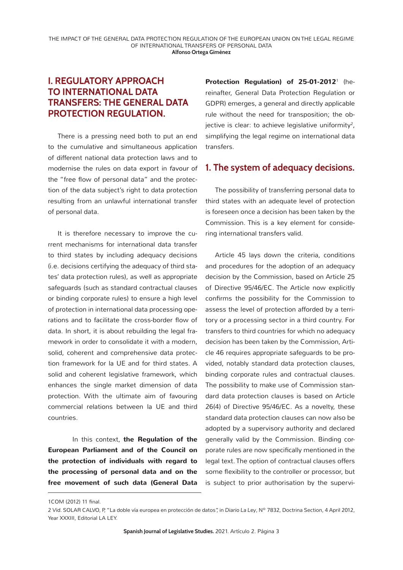# **I. REGULATORY APPROACH TO INTERNATIONAL DATA TRANSFERS: THE GENERAL DATA PROTECTION REGULATION.**

There is a pressing need both to put an end to the cumulative and simultaneous application of different national data protection laws and to modernise the rules on data export in *favour of*  the "free flow of personal data" and the protection of the data subject's right to data protection resulting from an unlawful international transfer of personal data.

It is therefore necessary to improve the current mechanisms for international data transfer to third states by including adequacy decisions (i.e. decisions certifying the adequacy of third states' data protection rules), as well as appropriate safeguards (such as standard contractual clauses or binding corporate rules) to ensure a high level of protection in international data processing operations and to facilitate the cross-border flow of data. In short, it is about rebuilding the legal framework in order to consolidate it with a modern, solid, coherent and comprehensive data protection framework for la UE and for third states. A solid and coherent legislative framework, which enhances the single market dimension of data protection. With the ultimate aim of favouring commercial relations between la UE and third countries.

In this context, **the Regulation of the European Parliament and of the Council on the protection of individuals with regard to the processing of personal data and on the free movement of such data (General Data**  Protection Regulation) of 25-01-2012<sup>1</sup> (hereinafter, General Data Protection Regulation or GDPR) emerges, a general and directly applicable rule without the need for transposition; the objective is clear: to achieve legislative uniformity<sup>2</sup>, simplifying the legal regime on international data transfers.

#### **1. The system of adequacy decisions.**

The possibility of transferring personal data to third states with an adequate level of protection is foreseen once a decision has been taken by the Commission. This is a key element for considering international transfers valid.

Article 45 lays down the criteria, conditions and procedures for the adoption of an adequacy decision by the Commission, based on Article 25 of Directive 95/46/EC. The Article now explicitly confirms the possibility for the Commission to assess the level of protection afforded by a territory or a processing sector in a third country. For transfers to third countries for which no adequacy decision has been taken by the Commission, Article 46 requires appropriate safeguards to be provided, notably standard data protection clauses, binding corporate rules and contractual clauses. The possibility to make use of Commission standard data protection clauses is based on Article 26(4) of Directive 95/46/EC. As a novelty, these standard data protection clauses can now also be adopted by a supervisory authority and declared generally valid by the Commission. Binding corporate rules are now specifically mentioned in the legal text. The option of contractual clauses offers some flexibility to the controller or processor, but is subject to prior authorisation by the supervi-

1COM (2012) 11 final.

<sup>2</sup> *Vid.* SOLAR CALVO, P, "La doble vía europea en protección de datos", in *Diario La Ley*, Nº 7832, Doctrina Section, 4 April 2012, Year XXXIII, Editorial LA LEY.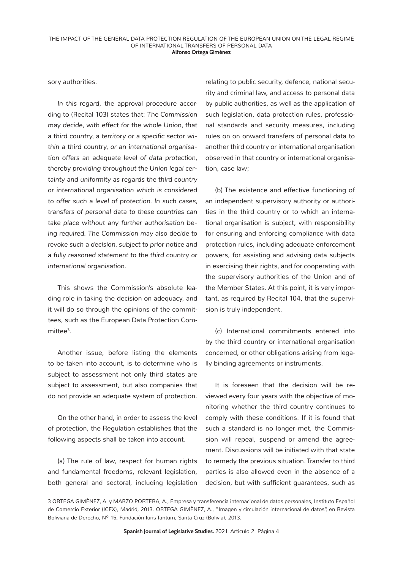sory authorities.

*In this regard*, the approval procedure according to (Recital 103) states that: *The Commission may decide, with effect for the whole Union, that a third country, a territory or a specific sector within a third country, or an international organisation offers an adequate level of data protection, thereby providing throughout the Union legal certainty and uniformity as regards the third country or international organisation which is considered to offer such a level of protection. In such cases, transfers of personal data to these countries can take place without any further authorisation being required. The Commission may also decide to revoke such a decision, subject to prior notice and a fully reasoned statement to the third country or international organisation.*

This shows the Commission's absolute leading role in taking the decision on adequacy, and it will do so through the opinions of the committees, such as the European Data Protection Committee<sup>3</sup>.

Another issue, before listing the elements to be taken into account, is to determine who is subject to assessment not only third states are subject to assessment, but also companies that do not provide an adequate system of protection.

On the other hand, in order to assess the level of protection, the Regulation establishes that the following aspects shall be taken into account.

(a) The rule of law, respect for human rights and fundamental freedoms, relevant legislation, both general and sectoral, including legislation

relating to public security, defence, national security and criminal law, and access to personal data by public authorities, as well as the application of such legislation, data protection rules, professional standards and security measures, including rules on on onward transfers of personal data to another third country or international organisation observed in that country or international organisation, case law;

(b) The existence and effective functioning of an independent supervisory authority or authorities in the third country or to which an international organisation is subject, with responsibility for ensuring and enforcing compliance with data protection rules, including adequate enforcement powers, for assisting and advising data subjects in exercising their rights, and for cooperating with the supervisory authorities of the Union and of the Member States. At this point, it is very important, as required by Recital 104, that the supervision is truly independent.

(c) International commitments entered into by the third country or international organisation concerned, or other obligations arising from legally binding agreements or instruments.

It is foreseen that the decision will be reviewed every four years with the objective of monitoring whether the third country continues to comply with these conditions. If it is found that such a standard is no longer met, the Commission will repeal, suspend or amend the agreement. Discussions will be initiated with that state to remedy the previous situation. Transfer to third parties is also allowed even in the absence of a decision, but with sufficient guarantees, such as

<sup>3</sup> ORTEGA GIMÉNEZ, A. y MARZO PORTERA, A., Empresa y transferencia internacional de datos personales, Instituto Español de Comercio Exterior (ICEX), Madrid, 2013. ORTEGA GIMÉNEZ, A., "Imagen y circulación internacional de datos", en Revista Boliviana de Derecho, Nº 15, Fundación Iuris Tantum, Santa Cruz (Bolivia), 2013.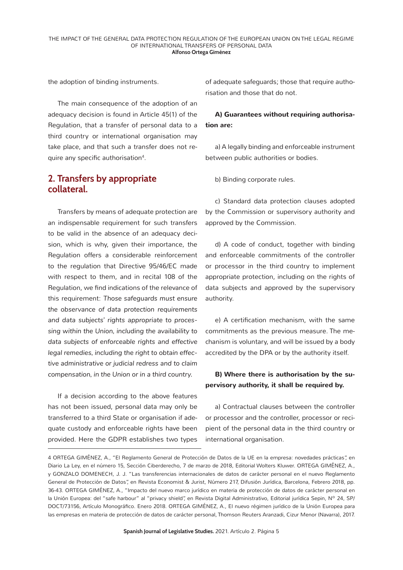the adoption of binding instruments.

The main consequence of the adoption of an adequacy decision is found in Article 45(1) of the Regulation, that a transfer of personal data to a third country or international organisation may take place, and that such a transfer does not require any specific authorisation<sup>4</sup>.

### **2. Transfers by appropriate collateral.**

Transfers by means of adequate protection are an indispensable requirement for such transfers to be valid in the absence of an adequacy decision, which is why, given their importance, the Regulation offers a considerable reinforcement to the regulation that Directive 95/46/EC made with respect to them, and in recital 108 of the Regulation, we find indications of the relevance of this requirement: *Those safeguards must ensure the observance of data protection requirements and data subjects' rights appropriate to processing within the Union, including the availability to data subjects of enforceable rights and effective legal remedies, including the right to obtain effective administrative or judicial redress and to claim compensation, in the Union or in a third country.*

If a decision according to the above features has not been issued, personal data may only be transferred to a third State or organisation if adequate custody and enforceable rights have been provided. Here the GDPR establishes two types

of adequate safeguards; those that require authorisation and those that do not.

#### **A) Guarantees without requiring authorisation are:**

a) A legally binding and enforceable instrument between public authorities or bodies.

b) Binding corporate rules.

c) Standard data protection clauses adopted by the Commission or supervisory authority and approved by the Commission.

d) A code of conduct, together with binding and enforceable commitments of the controller or processor in the third country to implement appropriate protection, including on the rights of data subjects and approved by the supervisory authority.

e) A certification mechanism, with the same commitments as the previous measure. The mechanism is voluntary, and will be issued by a body accredited by the DPA or by the authority itself.

#### **B) Where there is authorisation by the supervisory authority, it shall be required by.**

a) Contractual clauses between the controller or processor and the controller, processor or recipient of the personal data in the third country or international organisation.

<sup>4</sup> ORTEGA GIMÉNEZ, A., "El Reglamento General de Protección de Datos de la UE en la empresa: novedades prácticas", en Diario La Ley, en el número 15, Sección Ciberderecho, 7 de marzo de 2018, Editorial Wolters Kluwer. ORTEGA GIMÉNEZ, A., y GONZALO DOMENECH, J. J. "Las transferencias internacionales de datos de carácter personal en el nuevo Reglamento General de Protección de Datos", en Revista Economist & Jurist, Número 217, Difusión Jurídica, Barcelona, Febrero 2018, pp. 36-43. ORTEGA GIMÉNEZ, A., "Impacto del nuevo marco jurídico en materia de protección de datos de carácter personal en la Unión Europea: del "safe harbour" al "privacy shield", en Revista Digital Administrativo, Editorial jurídica Sepin, Nº 24, SP/ DOCT/73156, Artículo Monográfico. Enero 2018. ORTEGA GIMÉNEZ, A., El nuevo régimen jurídico de la Unión Europea para las empresas en materia de protección de datos de carácter personal, Thomson Reuters Aranzadi, Cizur Menor (Navarra), 2017.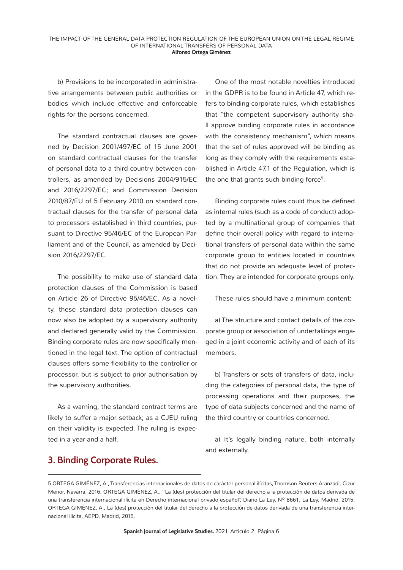b) Provisions to be incorporated in administrative arrangements between public authorities or bodies which include effective and enforceable rights for the persons concerned.

The standard contractual clauses are governed by Decision 2001/497/EC of 15 June 2001 on standard contractual clauses for the transfer of personal data to a third country between controllers, as amended by Decisions 2004/915/EC and 2016/2297/EC; and Commission Decision 2010/87/EU of 5 February 2010 on standard contractual clauses for the transfer of personal data to processors established in third countries, pursuant to Directive 95/46/EC of the European Parliament and of the Council, as amended by Decision 2016/2297/EC.

The possibility to make use of standard data protection clauses of the Commission is based on Article 26 of Directive 95/46/EC. As a novelty, these standard data protection clauses can now also be adopted by a supervisory authority and declared generally valid by the Commission. Binding corporate rules are now specifically mentioned in the legal text. The option of contractual clauses offers some flexibility to the controller or processor, but is subject to prior authorisation by the supervisory authorities.

As a warning, the standard contract terms are likely to suffer a major setback; as a CJEU ruling on their validity is expected. The ruling is expected in a year and a half.

One of the most notable novelties introduced in the GDPR is to be found in Article 47, which refers to binding corporate rules, which establishes that *"*the competent supervisory authority shall approve binding corporate rules in accordance with the consistency mechanism*", which* means that the set of rules approved will be binding as long as they comply with the requirements established in Article 47.1 of the Regulation, which is the one that grants such binding force<sup>5</sup>.

Binding corporate rules could thus be defined as internal rules (such as a code of conduct) adopted by a multinational group of companies that define their overall policy with regard to international transfers of personal data within the same corporate group to entities located in countries that do not provide an adequate level of protection. They are intended for corporate groups only.

These rules should have a minimum content:

a) The structure and contact details of the corporate group or association of undertakings engaged in a joint economic activity and of each of its members.

b) Transfers or sets of transfers of data, including the categories of personal data, the type of processing operations and their purposes, the type of data subjects concerned and the name of the third country or countries concerned.

a) It's legally binding nature, both internally and externally.

# **3. Binding Corporate Rules.**

5 ORTEGA GIMÉNEZ, A., Transferencias internacionales de datos de carácter personal ilícitas, Thomson Reuters Aranzadi, Cizur Menor, Navarra, 2016. ORTEGA GIMÉNEZ, A., "La (des) protección del titular del derecho a la protección de datos derivada de una transferencia internacional ilícita en Derecho internacional privado español", Diario La Ley, Nº 8661, La Ley, Madrid, 2015. ORTEGA GIMÉNEZ, A., La (des) protección del titular del derecho a la protección de datos derivada de una transferencia internacional ilícita, AEPD, Madrid, 2015.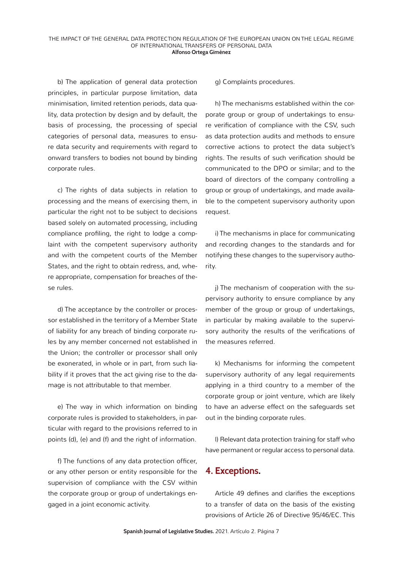b) The application of general data protection principles, in particular purpose limitation, data minimisation, limited retention periods, data quality, data protection by design and by default, the basis of processing, the processing of special categories of personal data, measures to ensure data security and requirements with regard to onward transfers to bodies not bound by binding corporate rules.

c) The rights of data subjects in relation to processing and the means of exercising them, in particular the right not to be subject to decisions based solely on automated processing, including compliance profiling, the right to lodge a complaint with the competent supervisory authority and with the competent courts of the Member States, and the right to obtain redress, and, where appropriate, compensation for breaches of these rules.

d) The acceptance by the controller or processor established in the territory of a Member State of liability for any breach of binding corporate rules by any member concerned not established in the Union; the controller or processor shall only be exonerated, in whole or in part, from such liability if it proves that the act giving rise to the damage is not attributable to that member.

e) The way in which information on binding corporate rules is provided to stakeholders, in particular with regard to the provisions referred to in points (d), (e) and (f) and the right of information.

f) The functions of any data protection officer, or any other person or entity responsible for the supervision of compliance with the CSV within the corporate group or group of undertakings engaged in a joint economic activity.

g) Complaints procedures.

h) The mechanisms established within the corporate group or group of undertakings to ensure verification of compliance with the CSV, such as data protection audits and methods to ensure corrective actions to protect the data subject's rights. The results of such verification should be communicated to the DPO or similar; and to the board of directors of the company controlling a group or group of undertakings, and made available to the competent supervisory authority upon request.

i) The mechanisms in place for communicating and recording changes to the standards and for notifying these changes to the supervisory authority.

j) The mechanism of cooperation with the supervisory authority to ensure compliance by any member of the group or group of undertakings, in particular by making available to the supervisory authority the results of the verifications of the measures referred.

k) Mechanisms for informing the competent supervisory authority of any legal requirements applying in a third country to a member of the corporate group or joint venture, which are likely to have an adverse effect on the safeguards set out in the binding corporate rules.

l) Relevant data protection training for staff who have permanent or regular access to personal data.

#### **4. Exceptions.**

Article 49 defines and clarifies the exceptions to a transfer of data on the basis of the existing provisions of Article 26 of Directive 95/46/EC. This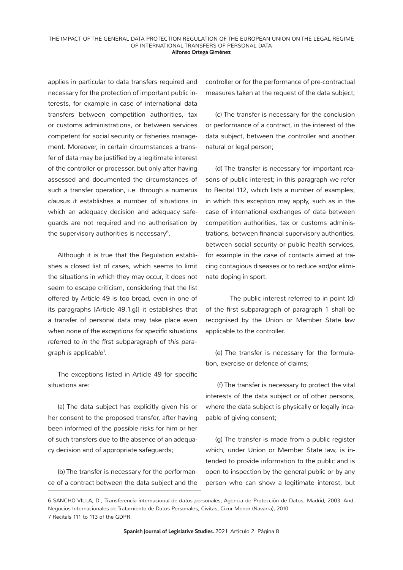applies in particular to data transfers required and necessary for the protection of important public interests, for example in case of international data transfers between competition authorities, tax or customs administrations, or between services competent for social security or fisheries management. Moreover, in certain circumstances a transfer of data may be justified by a legitimate interest of the controller or processor, but only after having assessed and documented the circumstances of such a transfer operation, i.e. through a *numerus clausus it* establishes a number of situations in which an adequacy decision and adequacy safeguards are not required and no authorisation by the supervisory authorities is necessary<sup>6</sup>.

Although it is true that the Regulation establishes a closed list of cases, which seems to limit the situations in which they may occur, it does not seem to escape criticism, considering that the list offered by Article 49 is too broad, even in one of its paragraphs [Article 49.1.g)] it establishes that a transfer of personal data may take place *even when none of the exceptions for specific situations referred to in the first subparagraph of this paragraph is applicable*<sup>7</sup> .

The exceptions listed in Article 49 for specific situations are:

(a) The data subject has explicitly given his or her consent to the proposed transfer, after having been informed of the possible risks for him or her of such transfers due to the absence of an adequacy decision and of appropriate safeguards;

(b) The transfer is necessary for the performance of a contract between the data subject and the controller or for the performance of pre-contractual measures taken at the request of the data subject;

(c) The transfer is necessary for the conclusion or performance of a contract, in the interest of the data subject, between the controller and another natural or legal person;

(d) The transfer is necessary for important reasons of public interest; in this paragraph we refer to Recital 112, which lists a number of examples, in which this exception may apply, such as in the case of international exchanges of data between competition authorities, tax or customs administrations, between financial supervisory authorities, between social security or public health services, for example in the case of contacts aimed at tracing contagious diseases or to reduce and/or eliminate doping in sport.

The public interest referred to in point (d) of the first subparagraph of paragraph 1 shall be recognised by the Union or Member State law applicable to the controller.

(e) The transfer is necessary for the formulation, exercise or defence of claims;

 (f) The transfer is necessary to protect the vital interests of the data subject or of other persons, where the data subject is physically or legally incapable of giving consent;

(g) The transfer is made from a public register which, under Union or Member State law, is intended to provide information to the public and is open to inspection by the general public or by any person who can show a legitimate interest, but

<sup>6</sup> SANCHO VILLA, D., *Transferencia internacional de datos personales*, Agencia de Protección de Datos, Madrid, 2003. And. Negocios Internacionales de Tratamiento de Datos Personales, Civitas, Cizur Menor (Navarra), 2010. 7 Recitals 111 to 113 of the GDPR.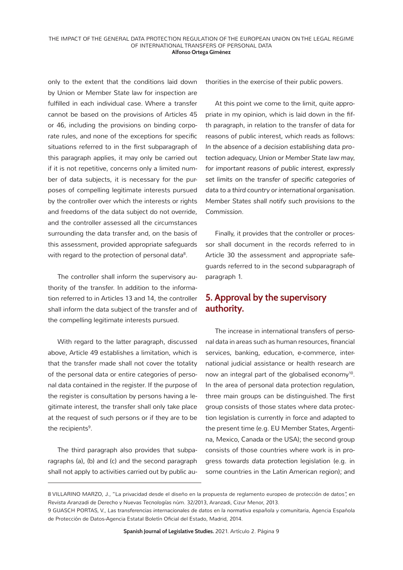only to the extent that the conditions laid down by Union or Member State law for inspection are fulfilled in each individual case. Where a transfer cannot be based on the provisions of Articles 45 or 46, including the provisions on binding corporate rules, and none of the exceptions for specific situations referred to in the first subparagraph of this paragraph applies, it may only be carried out if it is not repetitive, concerns only a limited number of data subjects, it is necessary for the purposes of compelling legitimate interests pursued by the controller over which the interests or rights and freedoms of the data subject do not override, and the controller assessed all the circumstances surrounding the data transfer and, on the basis of this assessment, provided appropriate safeguards with regard to the protection of personal data<sup>8</sup>.

The controller shall inform the supervisory authority of the transfer. In addition to the information referred to in Articles 13 and 14, the controller shall inform the data subject of the transfer and of the compelling legitimate interests pursued.

With regard to the latter paragraph, discussed above, Article 49 establishes a limitation, which is that the transfer made shall not cover the totality of the personal data or entire categories of personal data contained in the register. If the purpose of the register is consultation by persons having a legitimate interest, the transfer shall only take place at the request of such persons or if they are to be the recipients<sup>9</sup>.

The third paragraph also provides that subparagraphs (a), (b) and (c) and the second paragraph shall not apply to activities carried out by public authorities in the exercise of their public powers.

At this point we come to the limit, quite appropriate in my opinion, which is laid down in the fifth paragraph, in relation to the transfer of data for reasons of public interest, which reads as follows: *In the absence of a decision establishing data protection adequacy, Union or Member State law may, for important reasons of public interest, expressly set limits on the transfer of specific categories of data to a third country or international organisation. Member States shall notify such provisions to the Commission*.

Finally, it provides that the controller or processor shall document in the records referred to in Article 30 the assessment and appropriate safeguards referred to in the second subparagraph of paragraph 1.

# **5. Approval by the supervisory authority.**

The increase in international transfers of personal data in areas such as human resources, financial services, banking, education, e-commerce, international judicial assistance or health research are now an integral part of the globalised economy<sup>10</sup>. In the area of personal data protection regulation, three main groups can be distinguished. The first group consists of those states where data protection legislation is currently in force and adapted to the present time (e.g. EU Member States, Argentina, Mexico, Canada or the USA); the second group consists of those countries where work is in progress *towards data protection* legislation (e.g. in some countries in the Latin American region); and

<sup>8</sup> VILLARINO MARZO, J., "La privacidad desde el diseño en la propuesta de reglamento europeo de protección de datos", en *Revista Aranzadi de Derecho y Nuevas Tecnologías* núm. 32/2013, Aranzadi, Cizur Menor, 2013.

<sup>9</sup> GUASCH PORTAS, V., *Las transferencias internacionales de datos en la normativa española y comunitaria*, Agencia Española de Protección de Datos-Agencia Estatal Boletín Oficial del Estado, Madrid, 2014.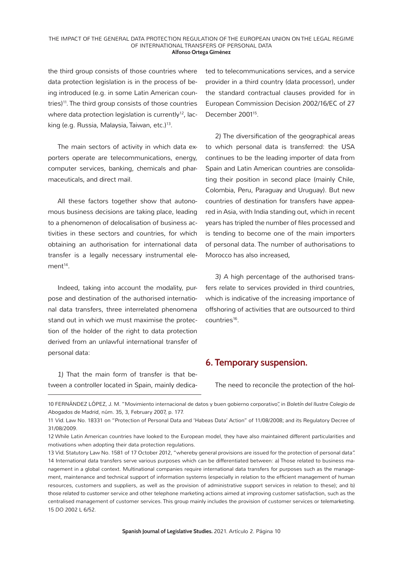#### THE IMPACT OF THE GENERAL DATA PROTECTION REGULATION OF THE EUROPEAN UNION ON THE LEGAL REGIME OF INTERNATIONAL TRANSFERS OF PERSONAL DATA **Alfonso Ortega Giménez**

the third group consists of those countries where data protection legislation is in the process of being introduced (e.g. in some Latin American countries) $11$ . The third group consists of those countries where data protection legislation is currently<sup>12</sup>, lacking (e.g. Russia, Malaysia, Taiwan, etc.)<sup>13</sup>.

The main sectors of activity in which data exporters operate are telecommunications, energy, computer services, banking, chemicals and pharmaceuticals, and direct mail.

All these factors together show that autonomous business decisions are taking place, leading to a phenomenon of delocalisation of business activities in these sectors and countries, for which obtaining an authorisation for international data transfer is a legally necessary instrumental ele $ment<sup>14</sup>$ .

Indeed, taking into account the modality, purpose and destination of the authorised international data transfers, three interrelated phenomena stand out in which we must maximise the protection of the holder of the right to data protection derived from an unlawful international transfer of personal data:

*1)* That the main form of transfer is that between a controller located in Spain, mainly dedicated to telecommunications services, and a service provider in a third country (data processor), under the standard contractual clauses provided for in European Commission Decision 2002/16/EC of 27 December 2001<sup>15</sup>.

*2)* The diversification of the geographical areas to which personal data is transferred: the USA continues to be the leading importer of data from Spain and Latin American countries are consolidating their position in second place (mainly Chile, Colombia, Peru, Paraguay and Uruguay). But new countries of destination for transfers have appeared in Asia, with India standing out, which in recent years has tripled the number of files processed and is tending to become one of the main importers of personal data. The number of authorisations to Morocco has also increased,

*3) A* high percentage of the authorised transfers relate to services provided in third countries, which is indicative of the increasing importance of offshoring of activities that are outsourced to third countries<sup>16</sup>.

#### **6. Temporary suspension.**

The need to reconcile the protection of the hol-

10 FERNÁNDEZ LÓPEZ, J. M. "Movimiento internacional de datos y buen gobierno corporativo", in *Boletín del Ilustre Colegio de Abogados de Madrid*, núm. 35, 3, February 2007, p. 177.

<sup>11</sup> *Vid.* Law No. 18331 on "Protection of Personal Data and 'Habeas Data' Action" of 11/08/2008; and its Regulatory Decree of 31/08/2009.

<sup>12</sup> While Latin American countries have looked to the European model, they have also maintained different particularities and motivations when adopting their data protection regulations.

<sup>13</sup> *Vid.* Statutory Law No. 1581 of 17 October 2012, "whereby general provisions are issued for the protection of personal data". 14 International data transfers serve various purposes which can be differentiated between: a) Those related to business management in a global context. Multinational companies require international data transfers for purposes such as the management, maintenance and technical support of information systems (especially in relation to the efficient management of human resources, customers and suppliers, as well as the provision of administrative support services in relation to these); and b) *those related to customer* service and other telephone marketing actions aimed at improving customer satisfaction, such as the centralised management of customer services. This group mainly includes the provision of customer services or *telemarketing.* 15 *DO* 2002 L 6/52.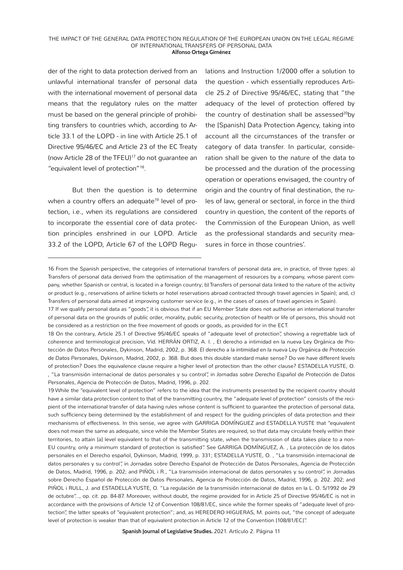#### THE IMPACT OF THE GENERAL DATA PROTECTION REGULATION OF THE EUROPEAN UNION ON THE LEGAL REGIME OF INTERNATIONAL TRANSFERS OF PERSONAL DATA **Alfonso Ortega Giménez**

der of the right to data protection derived from an unlawful international transfer of personal data with the international movement of personal data means that the regulatory rules on the matter must be based on the general principle of prohibiting transfers to countries which, according to Article 33.1 of the LOPD - in line with Article 25.1 of Directive 95/46/EC and Article 23 of the EC Treaty (now Article 28 of the TFEU)<sup>17</sup> do not quarantee an "equivalent level of protection"18.

But then the question is to determine when a country offers an adequate<sup>19</sup> level of protection, i.e., when its regulations are considered to incorporate the essential core of data protection principles enshrined in our LOPD. Article 33.2 of the LOPD, Article 67 of the LOPD Regulations and Instruction 1/2000 offer a solution to the question - which essentially reproduces Article 25.2 of Directive 95/46/EC, stating that "the adequacy of the level of protection offered by the country of destination shall be assessed $20$ by the [Spanish] Data Protection Agency, taking into account all the circumstances of the transfer or category of data transfer. In particular, consideration shall be given to the nature of the data to be processed and the duration of the processing operation or operations envisaged, the country of origin and the country of final destination, the rules of law, general or sectoral, in force in the third country in question, the content of the reports of the Commission of the European Union, as well as the professional standards and security measures in force in those countries'.

18 On the contrary, Article 25.1 of Directive 95/46/EC speaks of "adequate level of protection", showing a regrettable lack of coherence and terminological precision, *Vid.* HERRÁN ORTIZ, A. I. , El derecho a intimidad en la nueva Ley Orgánica de Protección de Datos Personales, Dykinson, Madrid, 2002, p. 368. *El derecho a la intimidad en la nueva Ley Orgánica de Protección de Datos Personales*, Dykinson, Madrid, 2002, p. 368. But does this double standard make sense? Do we have different levels of protection? Does the equivalence clause require a higher level of protection than the other clause? ESTADELLA YUSTE, O. , "La transmisión internacional de datos personales y su control", in *Jornadas sobre Derecho Español de Protección de Datos Personales*, Agencia de Protección de Datos, Madrid, 1996, p. 202.

19 While the "equivalent level of protection" refers to the idea that the instruments presented by the recipient country should have a similar data protection content to that of the transmitting country, the "adequate level of protection" consists of the recipient of the international transfer of data having rules whose content is sufficient to guarantee the protection of personal data, such sufficiency being determined by the establishment of and respect for the guiding principles of data protection and their mechanisms of effectiveness. In this sense, we agree with GARRIGA DOMÍNGUEZ and ESTADELLA YUSTE that "equivalent does not mean the same as adequate, since while the Member States are required, so that data may circulate freely within their territories, to attain [a] level equivalent to that of the transmitting state, when the transmission of data takes place to a non-EU country, only a minimum standard of protection is satisfied". See GARRIGA DOMÍNGUEZ, A. , La protección de los datos personales en el Derecho español, Dykinson, Madrid, 1999, p. 331; ESTADELLA YUSTE, O. , "La transmisión internacional de datos personales y su control", in Jornadas sobre Derecho Español de Protección de Datos Personales, Agencia de Protección de Datos, Madrid, 1996, p. 202; and PIÑOL i R., "La transmisión internacional de datos personales y su control", in Jornadas sobre Derecho Español de Protección de Datos Personales, Agencia de Protección de Datos, Madrid, 1996, p. 202. 202; and PIÑOL i RULL, J. and ESTADELLA YUSTE, O. "La regulación de la transmisión internacional de datos en la L. O. 5/1992 de 29 de octubre"..., op. cit. pp. 84-87. Moreover, without doubt, the regime provided for in Article 25 of Directive 95/46/EC is not in accordance with the provisions of Article 12 of Convention 108/81/EC, since while the former speaks of "adequate level of protection", the latter speaks of "equivalent protection"; and, as HEREDERO HIGUERAS, M. points out, "the concept of adequate level of protection is weaker than that of equivalent protection in Article 12 of the Convention [108/81/EC]".

**Spanish Journal of Legislative Studies.** 2021. Artículo 2. Página 11

<sup>16</sup> From the Spanish perspective, the categories of international transfers of personal data are, in practice, of three types: a) Transfers of personal data derived from the optimisation of the management of resources by a company, whose parent company, whether Spanish or central, is located in a foreign country; b) Transfers of personal data linked to the nature of the activity or product (e.g., reservations of airline tickets or hotel reservations abroad contracted through travel agencies in Spain); and, c) Transfers of personal data aimed at improving customer service (e.g., in the cases of cases of travel agencies in Spain).

<sup>17</sup> If we qualify personal data as "goods", it is obvious that if an EU Member State does not authorise an international transfer of personal data on the grounds of public order, morality, public security, protection of health or life of persons, this should not be considered as a restriction on the free movement of goods or goods, as provided for in the ECT.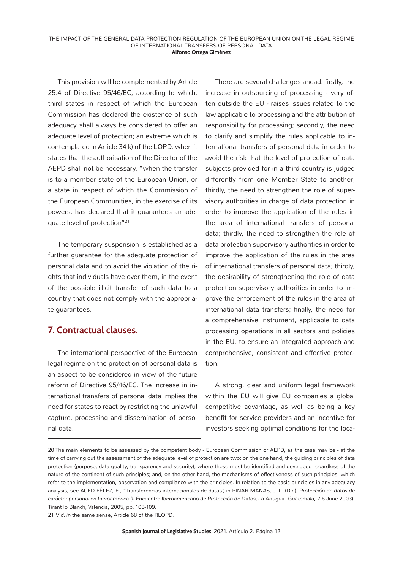This provision will be complemented by Article 25.4 of Directive 95/46/EC, according to which, third states in respect of which the European Commission has declared the existence of such adequacy shall always be considered to offer an adequate level of protection; an extreme which is contemplated in Article 34 k) of the LOPD, when it states that the authorisation of the Director of the AEPD shall not be necessary, "when the transfer is to a member state of the European Union, or a state in respect of which the Commission of the European Communities, in the exercise of its powers, has declared that it guarantees an adequate level of protection"<sup>21</sup>.

The temporary suspension is established as a further guarantee for the adequate protection of personal data and to avoid the violation of the rights that individuals have over them, in the event of the possible illicit transfer of such data to a country that does not comply with the appropriate guarantees.

# **7. Contractual clauses.**

The international perspective of the European legal regime on the protection of personal data is an aspect to be considered in view of the future reform of Directive 95/46/EC. The increase in international transfers of personal data implies the need for states to react by restricting the unlawful capture, processing and dissemination of personal data.

There are several challenges ahead: firstly, the increase in outsourcing of processing - very often outside the EU - raises issues related to the law applicable to processing and the attribution of responsibility for processing; secondly, the need to clarify and simplify the rules applicable to international transfers of personal data in order to avoid the risk that the level of protection of data subjects provided for in a third country is judged differently from one Member State to another; thirdly, the need to strengthen the role of supervisory authorities in charge of data protection in order to improve the application of the rules in the area of international transfers of personal data; thirdly, the need to strengthen the role of data protection supervisory authorities in order to improve the application of the rules in the area of international transfers of personal data; thirdly, the desirability of strengthening the role of data protection supervisory authorities in order to improve the enforcement of the rules in the area of international data transfers; finally, the need for a comprehensive instrument, applicable to data processing operations in all sectors and policies in the EU, to ensure an integrated approach and comprehensive, consistent and effective protection.

A strong, clear and uniform legal framework within the EU will give EU companies a global competitive advantage, as well as being a key benefit for service providers and an incentive for investors seeking optimal conditions for the loca-

21 *Vid. in the* same sense, Article 68 of the RLOPD.

<sup>20</sup> The main elements to be assessed by the competent body - European Commission or AEPD, as the case may be - at the time of carrying out the assessment of the adequate level of protection are two: on the one hand, the quiding principles of data protection (purpose, data quality, transparency and security), where these must be identified and developed regardless of the nature of the continent of such principles; and, on the other hand, the mechanisms of effectiveness of such principles, which refer to the implementation, observation and compliance with the principles. In relation to the basic principles in any adequacy analysis, see ACED FÉLEZ, E., "Transferencias internacionales de datos", in PIÑAR MAÑAS, J. L. (Dir.), *Protección de datos de*  carácter personal en Iberoamérica (Il Encuentro Iberoamericano de Protección de Datos, La Antigua- Guatemala, 2-6 June 2003), Tirant lo Blanch, Valencia, 2005, pp. 108-109.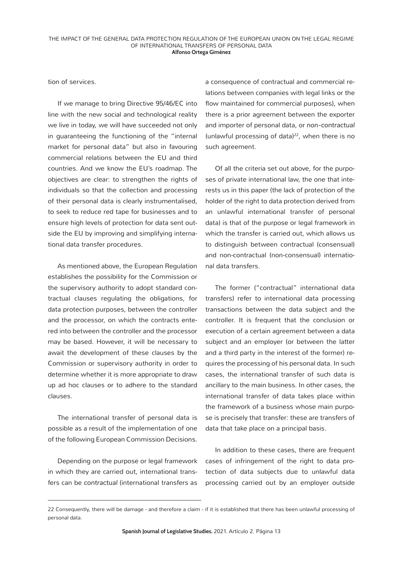tion of services.

If we manage to bring Directive 95/46/EC into line with the new social and technological reality we live in today, we will have succeeded not only in guaranteeing the functioning of the "internal market for personal data" but also in favouring commercial relations between the EU and third countries. And we know the EU's roadmap. The objectives are clear: to strengthen the rights of individuals so that the collection and processing of their personal data is clearly instrumentalised, to seek to reduce red tape for businesses and to ensure high levels of protection for data sent outside the EU by improving and simplifying international data transfer procedures.

As mentioned above, the European Regulation establishes the possibility for the Commission or the supervisory authority to adopt standard contractual clauses regulating the obligations, for data protection purposes, between the controller and the processor, on which the contracts entered into between the controller and the processor may be based. However, it will be necessary to await the development of these clauses by the Commission or supervisory authority in order to determine whether it is more appropriate to draw up ad hoc clauses or to adhere to the standard clauses.

The international transfer of personal data is possible as a result of the implementation of one of the following European Commission Decisions.

Depending on the purpose or legal framework in which they are carried out, international transfers can be *contractual* (international transfers as

a consequence of contractual and commercial relations between companies with legal links or the flow maintained for commercial purposes), when there is a prior agreement between the exporter and importer of personal data, or *non-contractual*  (unlawful processing of data) $22$ , when there is no such agreement.

Of all the criteria set out above, for the purposes of private international law, the one that interests us in this paper (the lack of protection of the holder of the right to data protection derived from an unlawful international transfer of personal data) is that of the purpose or legal framework in which the transfer is carried out, which allows us to distinguish between contractual (consensual) and non-contractual (non-consensual) international data transfers.

The former ("contractual" international data transfers) refer to international data processing transactions between the data subject and the controller. It is frequent that the conclusion or execution of a certain agreement between a data subject and an employer (or between the latter and a third party in the interest of the former) requires the processing of his personal data. In such cases, the international transfer of such data is ancillary to the main business. In other cases, the international transfer of data takes place within the framework of a business whose main purpose is precisely that transfer: these are transfers of data that take place on a principal basis.

In addition to these cases, there are frequent cases of infringement of the right to data protection of data subjects due to unlawful data processing carried out by an employer outside

<sup>22</sup> Consequently, there will be damage - and therefore a claim - if it is established that there has been unlawful processing of personal data.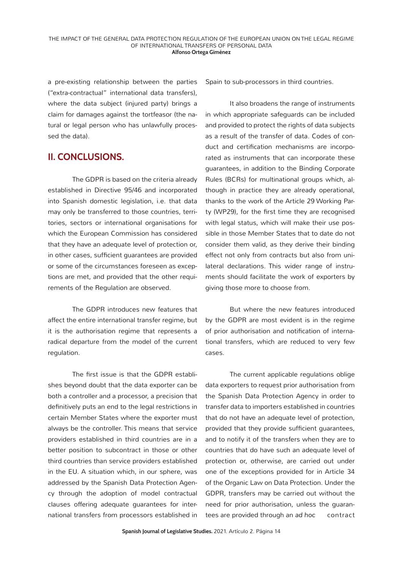a pre-existing relationship between the parties ("extra-contractual" international data transfers), where the data subject (injured party) brings a claim for damages against the tortfeasor (the natural or legal person who has unlawfully processed the data).

#### **II. CONCLUSIONS.**

The GDPR is based on the criteria already established in Directive 95/46 and incorporated into Spanish domestic legislation, i.e. that data may only be transferred to those countries, territories, sectors or international organisations for which the European Commission has considered that they have an adequate level of protection or, in other cases, sufficient guarantees are provided or some of the circumstances foreseen as exceptions are met, and provided that the other requirements of the Regulation are observed.

The GDPR introduces new features that affect the entire international transfer regime, but it is the authorisation regime that represents a radical departure from the model of the current regulation.

The first issue is that the GDPR establishes beyond doubt that the data exporter can be both a controller and a processor, a precision that definitively puts an end to the legal restrictions in certain Member States where the exporter must always be the controller. This means that service providers established in third countries are in a better position to subcontract in those or other third countries than service providers established in the EU. A situation which, in our sphere, was addressed by the Spanish Data Protection Agency through the adoption of model contractual clauses offering adequate guarantees for international transfers from processors established in

Spain to sub-processors in third countries.

It also broadens the range of instruments in which appropriate safeguards can be included and provided to protect the rights of data subjects as a result of the transfer of data. Codes of conduct and certification mechanisms are incorporated as instruments that can incorporate these guarantees, in addition to the Binding Corporate Rules (BCRs) for multinational groups which, although in practice they are already operational, thanks to the work of the Article 29 Working Party (WP29), for the first time they are recognised with legal status, which will make their use possible in those Member States that to date do not consider them valid, as they derive their binding effect not only from contracts but also from unilateral declarations. This wider range of instruments should facilitate the work of exporters by giving those more to choose from.

But where the new features introduced by the GDPR are most evident is in the regime of prior authorisation and notification of international transfers, which are reduced to very few cases.

The current applicable regulations oblige data exporters to request prior authorisation from the Spanish Data Protection Agency in order to transfer data to importers established in countries that do not have an adequate level of protection, provided that they provide sufficient guarantees, and to notify it of the transfers when they are to countries that do have such an adequate level of protection or, otherwise, are carried out under one of the exceptions provided for in Article 34 of the Organic Law on Data Protection. Under the GDPR, transfers may be carried out without the need for prior authorisation, unless the guarantees are provided through an *ad hoc* contract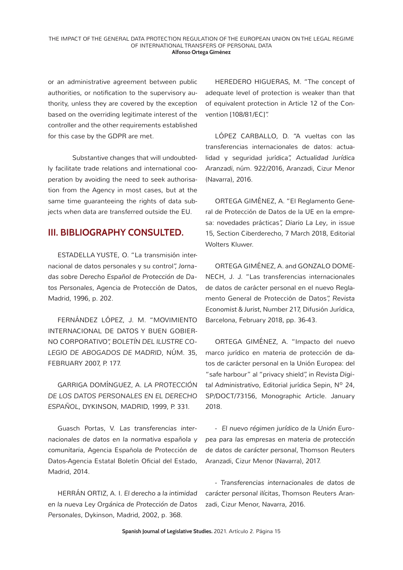or an administrative agreement between public authorities, or notification to the supervisory authority, unless they are covered by the exception based on the overriding legitimate interest of the controller and the other requirements established for this case by the GDPR are met.

Substantive changes that will undoubtedly facilitate trade relations and international cooperation by avoiding the need to seek authorisation from the Agency in most cases, but at the same time guaranteeing the rights of data subjects when data are transferred outside the EU.

#### **III. BIBLIOGRAPHY CONSULTED.**

ESTADELLA YUSTE, O. "La transmisión internacional de datos personales y su control", *Jornadas sobre Derecho Español de Protección de Datos Personales*, Agencia de Protección de Datos, Madrid, 1996, p. 202.

FERNÁNDEZ LÓPEZ, J. M. "MOVIMIENTO INTERNACIONAL DE DATOS Y BUEN GOBIER-NO CORPORATIVO", *BOLETÍN DEL ILUSTRE CO-LEGIO DE ABOGADOS DE MADRID*, NÚM. 35, FEBRUARY 2007, P. 177.

GARRIGA DOMÍNGUEZ, A. *LA PROTECCIÓN DE LOS DATOS PERSONALES EN EL DERECHO ESPAÑOL*, DYKINSON, MADRID, 1999, P. 331.

Guasch Portas, V. *Las transferencias internacionales de datos en la normativa española y comunitaria*, Agencia Española de Protección de Datos-Agencia Estatal Boletín Oficial del Estado, Madrid, 2014.

HERRÁN ORTIZ, A. I. *El derecho a la intimidad en la nueva Ley Orgánica de Protección de Datos Personales*, Dykinson, Madrid, 2002, p. 368.

HEREDERO HIGUERAS, M. "The concept of adequate level of protection is weaker than that of equivalent protection in Article 12 of the Convention [108/81/EC]".

LÓPEZ CARBALLO, D. "A vueltas con las transferencias internacionales de datos: actualidad y seguridad jurídica", *Actualidad Jurídica Aranzadi,* núm. 922/2016, Aranzadi, Cizur Menor (Navarra), 2016.

ORTEGA GIMÉNEZ, A. "El Reglamento General de Protección de Datos de la UE en la empresa: novedades prácticas", *Diario La Ley*, in issue 15, Section Ciberderecho, 7 March 2018, Editorial Wolters Kluwer.

ORTEGA GIMÉNEZ, A. and GONZALO DOME-NECH, J. J. "Las transferencias internacionales de datos de carácter personal en el nuevo Reglamento General de Protección de Datos", *Revista Economist & Jurist,* Number 217, Difusión Jurídica, Barcelona, February 2018, pp. 36-43.

ORTEGA GIMÉNEZ, A. "Impacto del nuevo marco jurídico en materia de protección de datos de carácter personal en la Unión Europea: del "safe harbour" al "privacy shield", in *Revista Digital Administrativo*, Editorial jurídica Sepin, Nº 24, SP/DOCT/73156, Monographic Article. January 2018.

- *El nuevo régimen jurídico de la Unión Europea para las empresas en materia de protección de datos de carácter personal*, Thomson Reuters Aranzadi, Cizur Menor (Navarra), 2017.

- *Transferencias internacionales de datos de carácter personal ilícitas*, Thomson Reuters Aranzadi, Cizur Menor, Navarra, 2016.